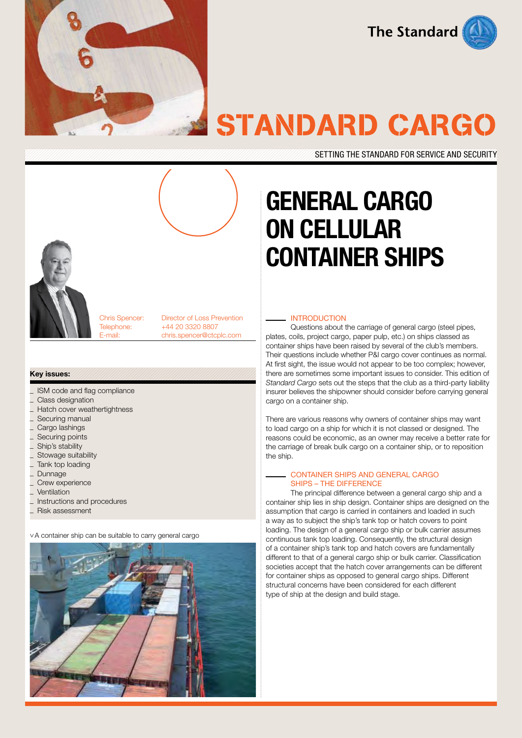

**The Standard** 

# STANDARD CARGO

SETTING THE STANDARD FOR SERVICE AND SECURITY

# GENERAL CARGO ON CELLULAR CONTAINER SHIPS



Chris Spencer: Director of Loss Prevention Telephone: +44 20 3320 8807 E-mail: chris.spencer@ctcplc.com

#### Key issues:

- ISM code and flag compliance
- Class designation
- Hatch cover weathertightness
- Securing manual
- Cargo lashings
- Securing points
- Ship's stability
- Stowage suitability
- \_ Tank top loading
- **Dunnage**
- Crew experience
- **Ventilation**
- \_ Instructions and procedures
- \_ Risk assessment

^ A container ship can be suitable to carry general cargo



#### **INTRODUCTION**

Questions about the carriage of general cargo (steel pipes, plates, coils, project cargo, paper pulp, etc.) on ships classed as container ships have been raised by several of the club's members. Their questions include whether P&I cargo cover continues as normal. At first sight, the issue would not appear to be too complex; however, there are sometimes some important issues to consider. This edition of *Standard Cargo* sets out the steps that the club as a third-party liability insurer believes the shipowner should consider before carrying general cargo on a container ship.

There are various reasons why owners of container ships may want to load cargo on a ship for which it is not classed or designed. The reasons could be economic, as an owner may receive a better rate for the carriage of break bulk cargo on a container ship, or to reposition the ship.

#### Container ships and general cargo ships – the difference

The principal difference between a general cargo ship and a container ship lies in ship design. Container ships are designed on the assumption that cargo is carried in containers and loaded in such a way as to subject the ship's tank top or hatch covers to point loading. The design of a general cargo ship or bulk carrier assumes continuous tank top loading. Consequently, the structural design of a container ship's tank top and hatch covers are fundamentally different to that of a general cargo ship or bulk carrier. Classification societies accept that the hatch cover arrangements can be different for container ships as opposed to general cargo ships. Different structural concerns have been considered for each different type of ship at the design and build stage.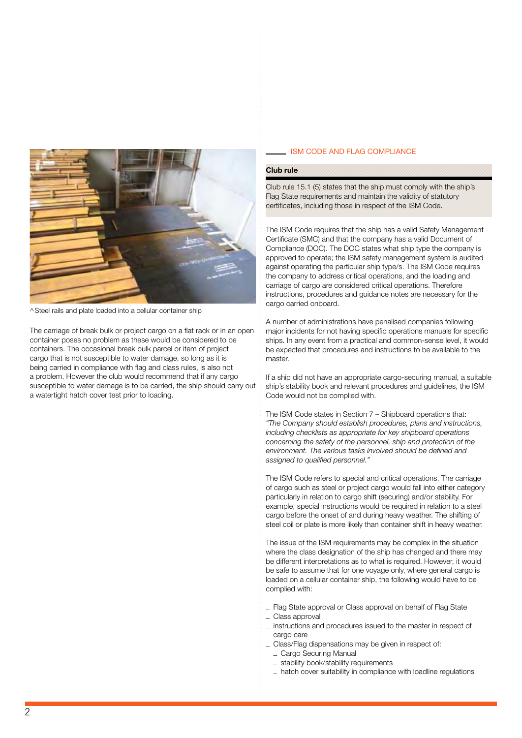

^Steel rails and plate loaded into a cellular container ship

The carriage of break bulk or project cargo on a flat rack or in an open container poses no problem as these would be considered to be containers. The occasional break bulk parcel or item of project cargo that is not susceptible to water damage, so long as it is being carried in compliance with flag and class rules, is also not a problem. However the club would recommend that if any cargo susceptible to water damage is to be carried, the ship should carry out a watertight hatch cover test prior to loading.

#### **ISM CODE AND FLAG COMPLIANCE**

#### Club rule

Club rule 15.1 (5) states that the ship must comply with the ship's Flag State requirements and maintain the validity of statutory certificates, including those in respect of the ISM Code.

The ISM Code requires that the ship has a valid Safety Management Certificate (SMC) and that the company has a valid Document of Compliance (DOC). The DOC states what ship type the company is approved to operate; the ISM safety management system is audited against operating the particular ship type/s. The ISM Code requires the company to address critical operations, and the loading and carriage of cargo are considered critical operations. Therefore instructions, procedures and guidance notes are necessary for the cargo carried onboard.

A number of administrations have penalised companies following major incidents for not having specific operations manuals for specific ships. In any event from a practical and common-sense level, it would be expected that procedures and instructions to be available to the master.

If a ship did not have an appropriate cargo-securing manual, a suitable ship's stability book and relevant procedures and guidelines, the ISM Code would not be complied with.

The ISM Code states in Section 7 – Shipboard operations that: *"The Company should establish procedures, plans and instructions, including checklists as appropriate for key shipboard operations concerning the safety of the personnel, ship and protection of the environment. The various tasks involved should be defined and assigned to qualified personnel."*

The ISM Code refers to special and critical operations. The carriage of cargo such as steel or project cargo would fall into either category particularly in relation to cargo shift (securing) and/or stability. For example, special instructions would be required in relation to a steel cargo before the onset of and during heavy weather. The shifting of steel coil or plate is more likely than container shift in heavy weather.

The issue of the ISM requirements may be complex in the situation where the class designation of the ship has changed and there may be different interpretations as to what is required. However, it would be safe to assume that for one voyage only, where general cargo is loaded on a cellular container ship, the following would have to be complied with:

- \_ Flag State approval or Class approval on behalf of Flag State
- \_ Class approval
- \_ instructions and procedures issued to the master in respect of cargo care
- \_ Class/Flag dispensations may be given in respect of:
	- \_ Cargo Securing Manual
	- \_ stability book/stability requirements
- \_ hatch cover suitability in compliance with loadline regulations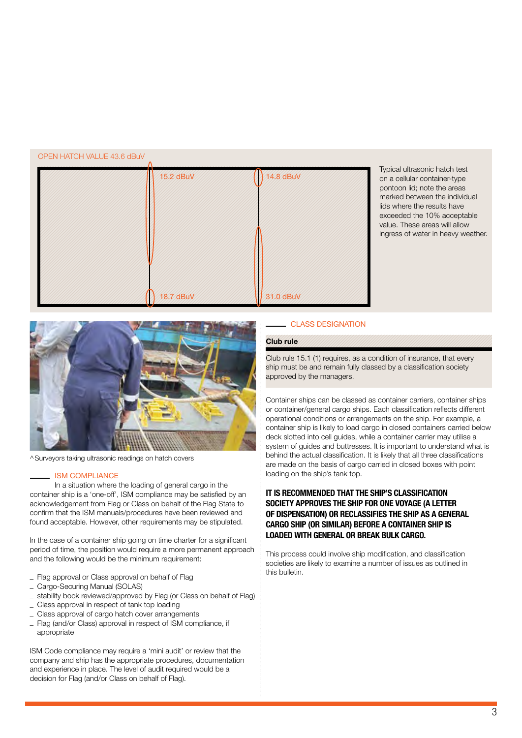#### OPEN HATCH VALUE 43.6 dBuV

| 15.2 dBuV | 14.8 dBuV |
|-----------|-----------|
|           |           |
|           |           |
|           |           |
|           |           |
| 18.7 dBuV | 31.0 dBuV |

Typical ultrasonic hatch test on a cellular container-type pontoon lid; note the areas marked between the individual lids where the results have exceeded the 10% acceptable value. These areas will allow ingress of water in heavy weather.



^Surveyors taking ultrasonic readings on hatch covers

#### **ISM COMPLIANCE**

In a situation where the loading of general cargo in the container ship is a 'one-off', ISM compliance may be satisfied by an acknowledgement from Flag or Class on behalf of the Flag State to confirm that the ISM manuals/procedures have been reviewed and found acceptable. However, other requirements may be stipulated.

In the case of a container ship going on time charter for a significant period of time, the position would require a more permanent approach and the following would be the minimum requirement:

- Flag approval or Class approval on behalf of Flag
- \_ Cargo-Securing Manual (SOLAS)
- stability book reviewed/approved by Flag (or Class on behalf of Flag)
- Class approval in respect of tank top loading
- Class approval of cargo hatch cover arrangements
- \_ Flag (and/or Class) approval in respect of ISM compliance, if appropriate

ISM Code compliance may require a 'mini audit' or review that the company and ship has the appropriate procedures, documentation and experience in place. The level of audit required would be a decision for Flag (and/or Class on behalf of Flag).

# class designation

# Club rule

Club rule 15.1 (1) requires, as a condition of insurance, that every ship must be and remain fully classed by a classification society approved by the managers.

Container ships can be classed as container carriers, container ships or container/general cargo ships. Each classification reflects different operational conditions or arrangements on the ship. For example, a container ship is likely to load cargo in closed containers carried below deck slotted into cell guides, while a container carrier may utilise a system of guides and buttresses. It is important to understand what is behind the actual classification. It is likely that all three classifications are made on the basis of cargo carried in closed boxes with point loading on the ship's tank top.

### It is recommended that the ship's classification society approves the ship for one voyage (a letter of dispensation) or reclassifies the ship as a general cargo ship (or similar) before a container ship is loaded with general or break bulk cargo.

This process could involve ship modification, and classification societies are likely to examine a number of issues as outlined in this bulletin.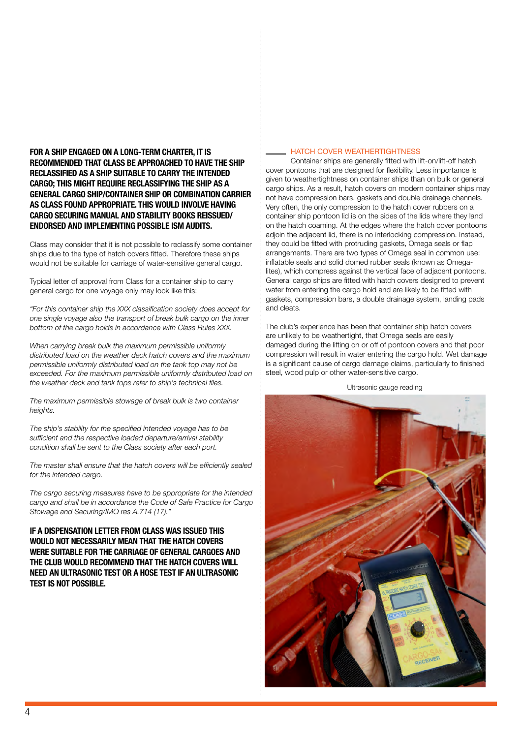For a ship engaged on a long-term charter, it is recommended that Class be approached to have the ship reclassified as a ship suitable to carry the intended cargo; this might require reclassifying the ship as a general cargo ship/container ship or combination carrier as Class found appropriate. This would involve having cargo securing manual and stability books reissued/ endorsed and implementing possible ISM audits.

Class may consider that it is not possible to reclassify some container ships due to the type of hatch covers fitted. Therefore these ships would not be suitable for carriage of water-sensitive general cargo.

Typical letter of approval from Class for a container ship to carry general cargo for one voyage only may look like this:

*"For this container ship the XXX classification society does accept for one single voyage also the transport of break bulk cargo on the inner bottom of the cargo holds in accordance with Class Rules XXX.* 

*When carrying break bulk the maximum permissible uniformly distributed load on the weather deck hatch covers and the maximum permissible uniformly distributed load on the tank top may not be exceeded. For the maximum permissible uniformly distributed load on the weather deck and tank tops refer to ship's technical files.*

*The maximum permissible stowage of break bulk is two container heights.*

*The ship's stability for the specified intended voyage has to be sufficient and the respective loaded departure/arrival stability condition shall be sent to the Class society after each port.*

*The master shall ensure that the hatch covers will be efficiently sealed for the intended cargo.*

*The cargo securing measures have to be appropriate for the intended cargo and shall be in accordance the Code of Safe Practice for Cargo Stowage and Securing/IMO res A.714 (17)."*

If a dispensation letter from class was issued this would not necessarily mean that the hatch covers were suitable for the carriage of general cargoes and the club would recommend that the hatch covers will need an ultrasonic test or a hose test if an ultrasonic test is not possible.

#### HATCH COVER WEATHERTIGHTNESS

Container ships are generally fitted with lift-on/lift-off hatch cover pontoons that are designed for flexibility. Less importance is given to weathertightness on container ships than on bulk or general cargo ships. As a result, hatch covers on modern container ships may not have compression bars, gaskets and double drainage channels. Very often, the only compression to the hatch cover rubbers on a container ship pontoon lid is on the sides of the lids where they land on the hatch coaming. At the edges where the hatch cover pontoons adjoin the adjacent lid, there is no interlocking compression. Instead, they could be fitted with protruding gaskets, Omega seals or flap arrangements. There are two types of Omega seal in common use: inflatable seals and solid domed rubber seals (known as Omegalites), which compress against the vertical face of adjacent pontoons. General cargo ships are fitted with hatch covers designed to prevent water from entering the cargo hold and are likely to be fitted with gaskets, compression bars, a double drainage system, landing pads and cleats.

The club's experience has been that container ship hatch covers are unlikely to be weathertight, that Omega seals are easily damaged during the lifting on or off of pontoon covers and that poor compression will result in water entering the cargo hold. Wet damage is a significant cause of cargo damage claims, particularly to finished steel, wood pulp or other water-sensitive cargo.

Ultrasonic gauge reading

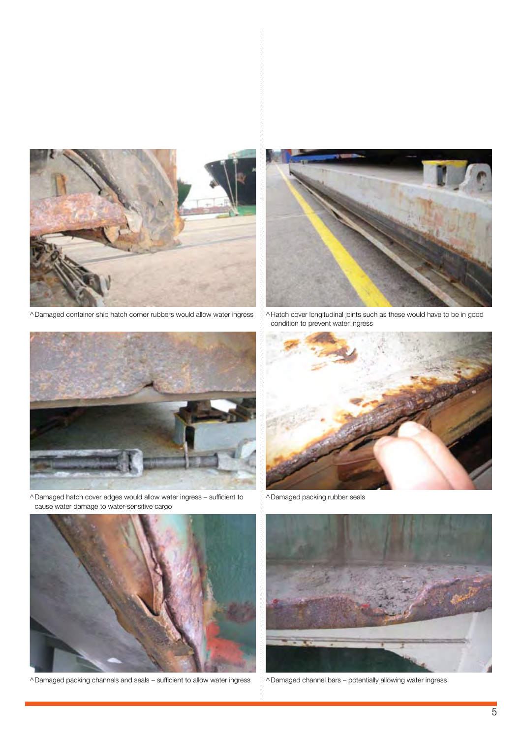

^Damaged container ship hatch corner rubbers would allow water ingress



^Hatch cover longitudinal joints such as these would have to be in good condition to prevent water ingress



^Damaged hatch cover edges would allow water ingress – sufficient to cause water damage to water-sensitive cargo



^Damaged packing channels and seals – sufficient to allow water ingress



^Damaged packing rubber seals



^Damaged channel bars – potentially allowing water ingress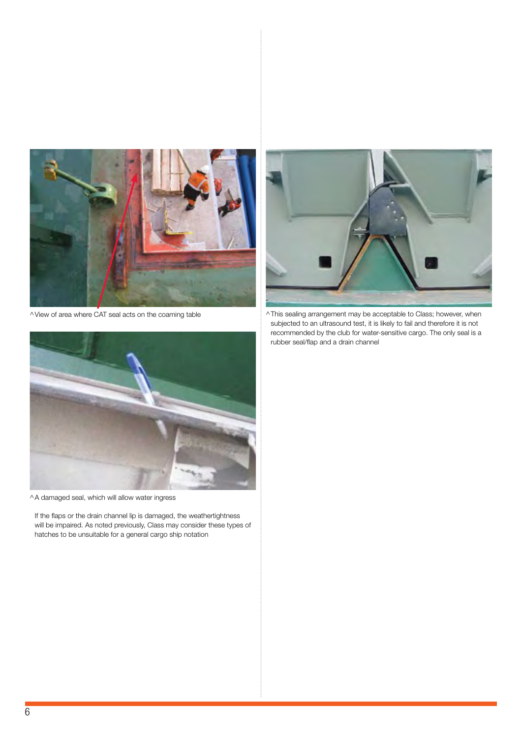

^View of area where CAT seal acts on the coaming table



^This sealing arrangement may be acceptable to Class; however, when subjected to an ultrasound test, it is likely to fail and therefore it is not recommended by the club for water-sensitive cargo. The only seal is a rubber seal/flap and a drain channel



^A damaged seal, which will allow water ingress

If the flaps or the drain channel lip is damaged, the weathertightness will be impaired. As noted previously, Class may consider these types of hatches to be unsuitable for a general cargo ship notation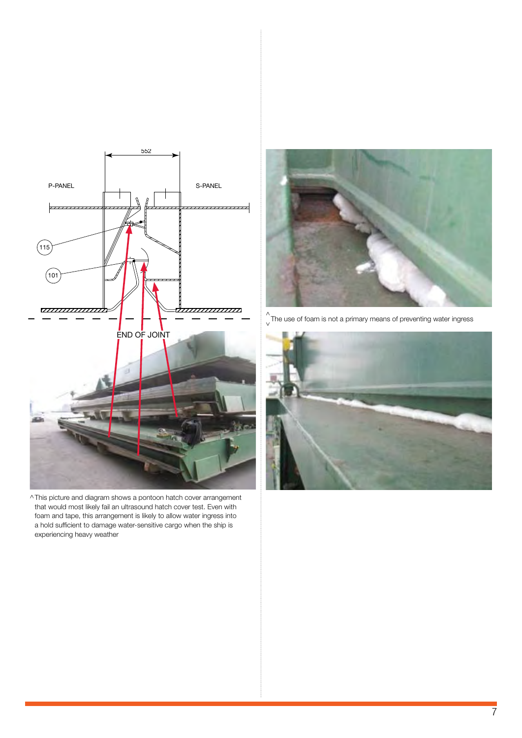

^This picture and diagram shows a pontoon hatch cover arrangement that would most likely fail an ultrasound hatch cover test. Even with foam and tape, this arrangement is likely to allow water ingress into a hold sufficient to damage water-sensitive cargo when the ship is experiencing heavy weather



 $\bigwedge_{\mathsf{v}}^{\mathsf{v}}$ The use of foam is not a primary means of preventing water ingress

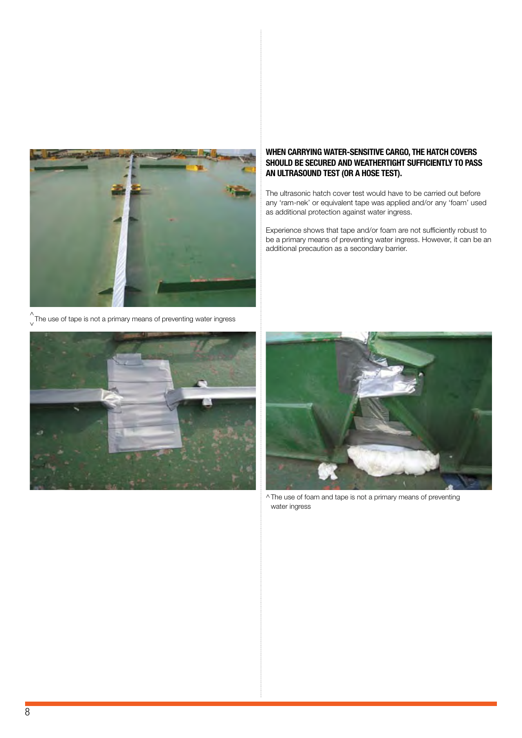

 $\bigwedge_{\mathsf{v}}^{\mathsf{v}}$ The use of tape is not a primary means of preventing water ingress



# When carrying water-sensitive cargo, the hatch covers should be secured and weathertight sufficiently to pass an ultrasound test (or a hose test).

The ultrasonic hatch cover test would have to be carried out before any 'ram-nek' or equivalent tape was applied and/or any 'foam' used as additional protection against water ingress.

Experience shows that tape and/or foam are not sufficiently robust to be a primary means of preventing water ingress. However, it can be an additional precaution as a secondary barrier.



^The use of foam and tape is not a primary means of preventing water ingress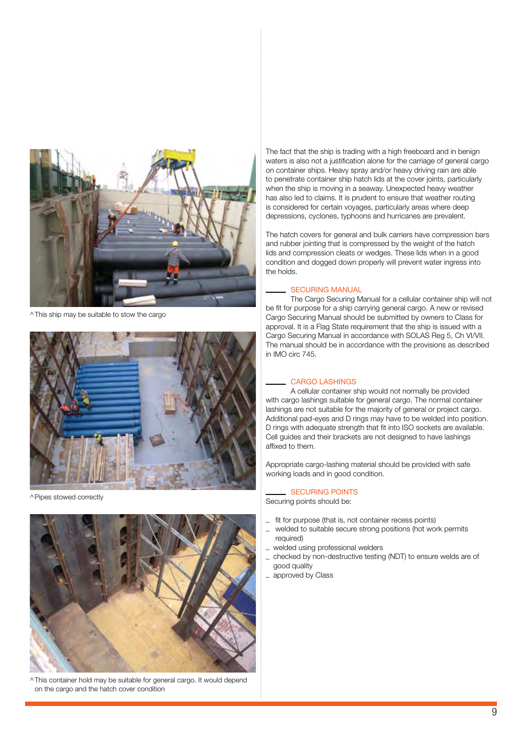

^This ship may be suitable to stow the cargo



^Pipes stowed correctly



^This container hold may be suitable for general cargo. It would depend on the cargo and the hatch cover condition

The fact that the ship is trading with a high freeboard and in benign waters is also not a justification alone for the carriage of general cargo on container ships. Heavy spray and/or heavy driving rain are able to penetrate container ship hatch lids at the cover joints, particularly when the ship is moving in a seaway. Unexpected heavy weather has also led to claims. It is prudent to ensure that weather routing is considered for certain voyages, particularly areas where deep depressions, cyclones, typhoons and hurricanes are prevalent.

The hatch covers for general and bulk carriers have compression bars and rubber jointing that is compressed by the weight of the hatch lids and compression cleats or wedges. These lids when in a good condition and dogged down properly will prevent water ingress into the holds.

#### Securing manual

The Cargo Securing Manual for a cellular container ship will not be fit for purpose for a ship carrying general cargo. A new or revised Cargo Securing Manual should be submitted by owners to Class for approval. It is a Flag State requirement that the ship is issued with a Cargo Securing Manual in accordance with SOLAS Reg 5, Ch VI/VII. The manual should be in accordance with the provisions as described in IMO circ 745.

#### Cargo lashings

A cellular container ship would not normally be provided with cargo lashings suitable for general cargo. The normal container lashings are not suitable for the majority of general or project cargo. Additional pad-eyes and D rings may have to be welded into position. D rings with adequate strength that fit into ISO sockets are available. Cell guides and their brackets are not designed to have lashings affixed to them.

Appropriate cargo-lashing material should be provided with safe working loads and in good condition.

#### Securing points

Securing points should be:

- fit for purpose (that is, not container recess points)
- \_ welded to suitable secure strong positions (hot work permits required)
- welded using professional welders
- \_ checked by non-destructive testing (NDT) to ensure welds are of good quality
- \_ approved by Class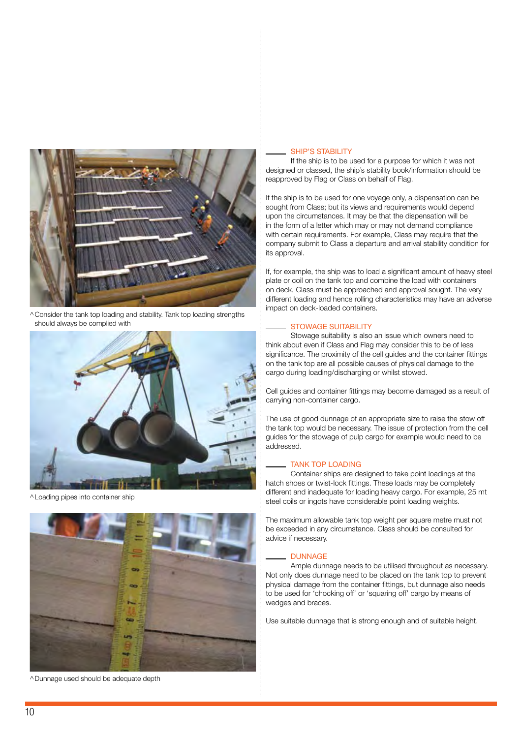

^Consider the tank top loading and stability. Tank top loading strengths should always be complied with



^Loading pipes into container ship



^Dunnage used should be adequate depth

#### SHIP'S STABILITY

If the ship is to be used for a purpose for which it was not designed or classed, the ship's stability book/information should be reapproved by Flag or Class on behalf of Flag.

If the ship is to be used for one voyage only, a dispensation can be sought from Class; but its views and requirements would depend upon the circumstances. It may be that the dispensation will be in the form of a letter which may or may not demand compliance with certain requirements. For example, Class may require that the company submit to Class a departure and arrival stability condition for its approval.

If, for example, the ship was to load a significant amount of heavy steel plate or coil on the tank top and combine the load with containers on deck, Class must be approached and approval sought. The very different loading and hence rolling characteristics may have an adverse impact on deck-loaded containers.

#### STOWAGE SUITABILITY

Stowage suitability is also an issue which owners need to think about even if Class and Flag may consider this to be of less significance. The proximity of the cell guides and the container fittings on the tank top are all possible causes of physical damage to the cargo during loading/discharging or whilst stowed.

Cell guides and container fittings may become damaged as a result of carrying non-container cargo.

The use of good dunnage of an appropriate size to raise the stow off the tank top would be necessary. The issue of protection from the cell guides for the stowage of pulp cargo for example would need to be addressed.

#### TANK TOP LOADING

Container ships are designed to take point loadings at the hatch shoes or twist-lock fittings. These loads may be completely different and inadequate for loading heavy cargo. For example, 25 mt steel coils or ingots have considerable point loading weights.

The maximum allowable tank top weight per square metre must not be exceeded in any circumstance. Class should be consulted for advice if necessary.

#### **DUNNAGE**

Ample dunnage needs to be utilised throughout as necessary. Not only does dunnage need to be placed on the tank top to prevent physical damage from the container fittings, but dunnage also needs to be used for 'chocking off' or 'squaring off' cargo by means of wedges and braces.

Use suitable dunnage that is strong enough and of suitable height.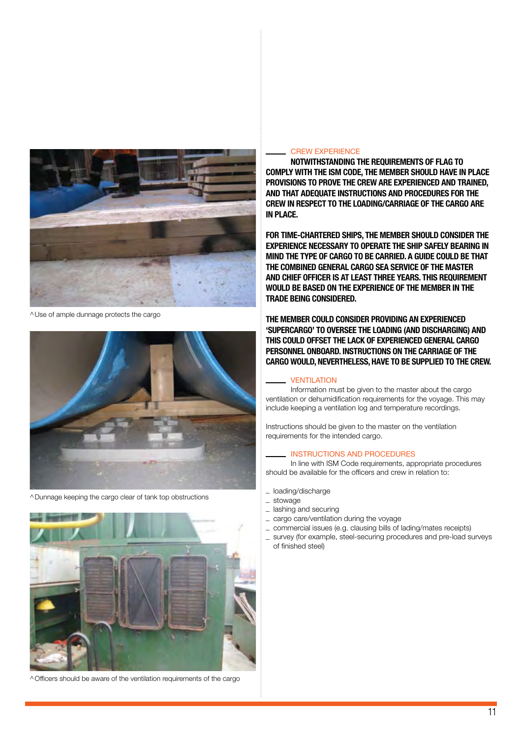

^Use of ample dunnage protects the cargo



^Dunnage keeping the cargo clear of tank top obstructions



^Officers should be aware of the ventilation requirements of the cargo

#### **CREW EXPERIENCE**

NOTWITHSTANDING THE REQUIREMENTS OF FLAG TO comply with the ISM Code, the member should have in place provisions to prove the crew are experienced and trained, and that adequate instructions and procedures for the crew in respect to the loading/carriage of the cargo are in place.

For time-chartered ships, the member should consider the experience necessary to operate the ship safely bearing in mind the type of cargo to be carried. A guide could be that THE COMBINED GENERAL CARGO SEA SERVICE OF THE MASTER and chief officer is at least three years. This requirement would be based on the experience of the member in the trade being considered.

The member could consider providing an experienced 'supercargo' to oversee the loading (and discharging) and this could offset the lack of experienced general cargo personnel onboard. Instructions on the carriage of the cargo would, nevertheless, have to be supplied to the crew.

#### **VENTILATION**

Information must be given to the master about the cargo ventilation or dehumidification requirements for the voyage. This may include keeping a ventilation log and temperature recordings.

Instructions should be given to the master on the ventilation requirements for the intended cargo.

#### Instructions and procedures

In line with ISM Code requirements, appropriate procedures should be available for the officers and crew in relation to:

\_ loading/discharge

- \_ stowage
- \_ lashing and securing
- \_ cargo care/ventilation during the voyage
- \_ commercial issues (e.g. clausing bills of lading/mates receipts)
- \_ survey (for example, steel-securing procedures and pre-load surveys of finished steel)